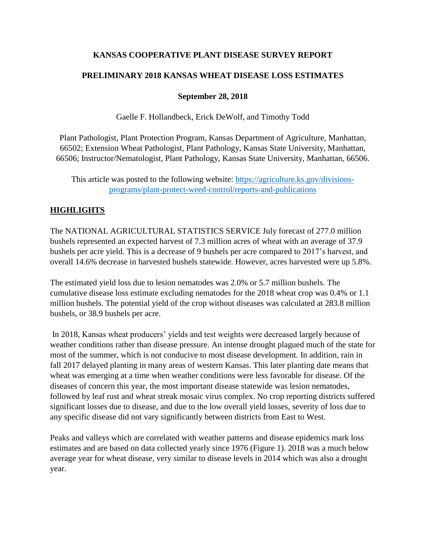# **KANSAS COOPERATIVE PLANT DISEASE SURVEY REPORT**

# **PRELIMINARY 2018 KANSAS WHEAT DISEASE LOSS ESTIMATES**

### **September 28, 2018**

Gaelle F. Hollandbeck, Erick DeWolf, and Timothy Todd

Plant Pathologist, Plant Protection Program, Kansas Department of Agriculture, Manhattan, 66502; Extension Wheat Pathologist, Plant Pathology, Kansas State University, Manhattan, 66506; Instructor/Nematologist, Plant Pathology, Kansas State University, Manhattan, 66506.

This article was posted to the following website: [https://agriculture.ks.gov/divisions](https://agriculture.ks.gov/divisions-programs/plant-protect-weed-control/reports-and-publications)[programs/plant-protect-weed-control/reports-and-publications](https://agriculture.ks.gov/divisions-programs/plant-protect-weed-control/reports-and-publications)

# **HIGHLIGHTS**

The NATIONAL AGRICULTURAL STATISTICS SERVICE July forecast of 277.0 million bushels represented an expected harvest of 7.3 million acres of wheat with an average of 37.9 bushels per acre yield. This is a decrease of 9 bushels per acre compared to 2017's harvest, and overall 14.6% decrease in harvested bushels statewide. However, acres harvested were up 5.8%.

The estimated yield loss due to lesion nematodes was 2.0% or 5.7 million bushels. The cumulative disease loss estimate excluding nematodes for the 2018 wheat crop was 0.4% or 1.1 million bushels. The potential yield of the crop without diseases was calculated at 283.8 million bushels, or 38.9 bushels per acre.

In 2018, Kansas wheat producers' yields and test weights were decreased largely because of weather conditions rather than disease pressure. An intense drought plagued much of the state for most of the summer, which is not conducive to most disease development. In addition, rain in fall 2017 delayed planting in many areas of western Kansas. This later planting date means that wheat was emerging at a time when weather conditions were less favorable for disease. Of the diseases of concern this year, the most important disease statewide was lesion nematodes, followed by leaf rust and wheat streak mosaic virus complex. No crop reporting districts suffered significant losses due to disease, and due to the low overall yield losses, severity of loss due to any specific disease did not vary significantly between districts from East to West.

Peaks and valleys which are correlated with weather patterns and disease epidemics mark loss estimates and are based on data collected yearly since 1976 (Figure 1). 2018 was a much below average year for wheat disease, very similar to disease levels in 2014 which was also a drought year.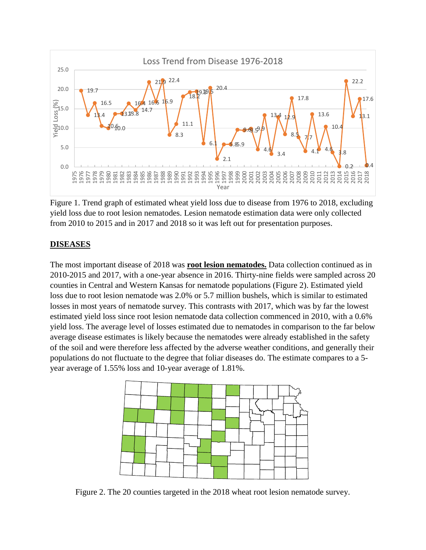

Figure 1. Trend graph of estimated wheat yield loss due to disease from 1976 to 2018, excluding yield loss due to root lesion nematodes. Lesion nematode estimation data were only collected from 2010 to 2015 and in 2017 and 2018 so it was left out for presentation purposes.

### **DISEASES**

The most important disease of 2018 was **root lesion nematodes.** Data collection continued as in 2010-2015 and 2017, with a one-year absence in 2016. Thirty-nine fields were sampled across 20 counties in Central and Western Kansas for nematode populations (Figure 2). Estimated yield loss due to root lesion nematode was 2.0% or 5.7 million bushels, which is similar to estimated losses in most years of nematode survey. This contrasts with 2017, which was by far the lowest estimated yield loss since root lesion nematode data collection commenced in 2010, with a 0.6% yield loss. The average level of losses estimated due to nematodes in comparison to the far below average disease estimates is likely because the nematodes were already established in the safety of the soil and were therefore less affected by the adverse weather conditions, and generally their populations do not fluctuate to the degree that foliar diseases do. The estimate compares to a 5 year average of 1.55% loss and 10-year average of 1.81%.



Figure 2. The 20 counties targeted in the 2018 wheat root lesion nematode survey.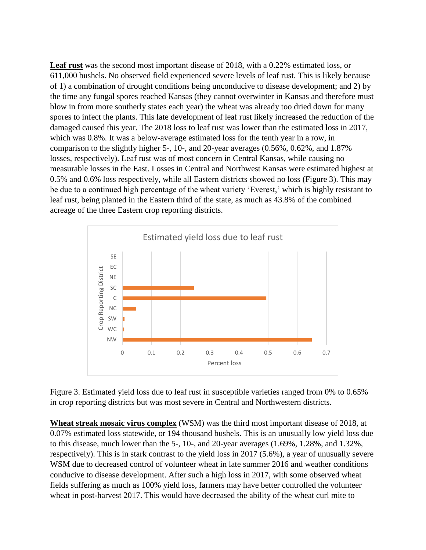**Leaf rust** was the second most important disease of 2018, with a 0.22% estimated loss, or 611,000 bushels. No observed field experienced severe levels of leaf rust. This is likely because of 1) a combination of drought conditions being unconducive to disease development; and 2) by the time any fungal spores reached Kansas (they cannot overwinter in Kansas and therefore must blow in from more southerly states each year) the wheat was already too dried down for many spores to infect the plants. This late development of leaf rust likely increased the reduction of the damaged caused this year. The 2018 loss to leaf rust was lower than the estimated loss in 2017, which was 0.8%. It was a below-average estimated loss for the tenth year in a row, in comparison to the slightly higher 5-, 10-, and 20-year averages (0.56%, 0.62%, and 1.87% losses, respectively). Leaf rust was of most concern in Central Kansas, while causing no measurable losses in the East. Losses in Central and Northwest Kansas were estimated highest at 0.5% and 0.6% loss respectively, while all Eastern districts showed no loss (Figure 3). This may be due to a continued high percentage of the wheat variety 'Everest,' which is highly resistant to leaf rust, being planted in the Eastern third of the state, as much as 43.8% of the combined acreage of the three Eastern crop reporting districts.



Figure 3. Estimated yield loss due to leaf rust in susceptible varieties ranged from 0% to 0.65% in crop reporting districts but was most severe in Central and Northwestern districts.

**Wheat streak mosaic virus complex** (WSM) was the third most important disease of 2018, at 0.07% estimated loss statewide, or 194 thousand bushels. This is an unusually low yield loss due to this disease, much lower than the 5-, 10-, and 20-year averages (1.69%, 1.28%, and 1.32%, respectively). This is in stark contrast to the yield loss in 2017 (5.6%), a year of unusually severe WSM due to decreased control of volunteer wheat in late summer 2016 and weather conditions conducive to disease development. After such a high loss in 2017, with some observed wheat fields suffering as much as 100% yield loss, farmers may have better controlled the volunteer wheat in post-harvest 2017. This would have decreased the ability of the wheat curl mite to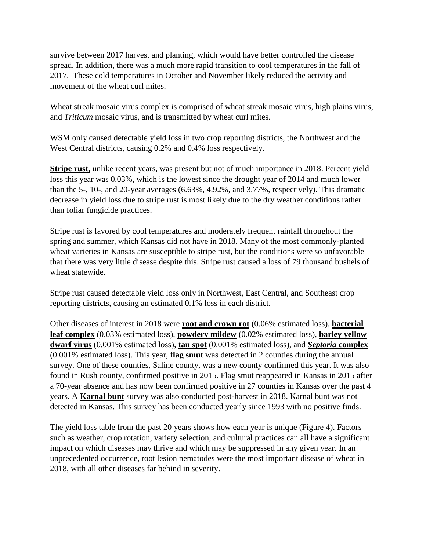survive between 2017 harvest and planting, which would have better controlled the disease spread. In addition, there was a much more rapid transition to cool temperatures in the fall of 2017. These cold temperatures in October and November likely reduced the activity and movement of the wheat curl mites.

Wheat streak mosaic virus complex is comprised of wheat streak mosaic virus, high plains virus, and *Triticum* mosaic virus, and is transmitted by wheat curl mites.

WSM only caused detectable yield loss in two crop reporting districts, the Northwest and the West Central districts, causing 0.2% and 0.4% loss respectively.

**Stripe rust,** unlike recent years, was present but not of much importance in 2018. Percent yield loss this year was 0.03%, which is the lowest since the drought year of 2014 and much lower than the 5-, 10-, and 20-year averages (6.63%, 4.92%, and 3.77%, respectively). This dramatic decrease in yield loss due to stripe rust is most likely due to the dry weather conditions rather than foliar fungicide practices.

Stripe rust is favored by cool temperatures and moderately frequent rainfall throughout the spring and summer, which Kansas did not have in 2018. Many of the most commonly-planted wheat varieties in Kansas are susceptible to stripe rust, but the conditions were so unfavorable that there was very little disease despite this. Stripe rust caused a loss of 79 thousand bushels of wheat statewide.

Stripe rust caused detectable yield loss only in Northwest, East Central, and Southeast crop reporting districts, causing an estimated 0.1% loss in each district.

Other diseases of interest in 2018 were **root and crown rot** (0.06% estimated loss), **bacterial leaf complex** (0.03% estimated loss), **powdery mildew** (0.02% estimated loss), **barley yellow dwarf virus** (0.001% estimated loss), **tan spot** (0.001% estimated loss), and *Septoria* **complex** (0.001% estimated loss). This year, **flag smut** was detected in 2 counties during the annual survey. One of these counties, Saline county, was a new county confirmed this year. It was also found in Rush county, confirmed positive in 2015. Flag smut reappeared in Kansas in 2015 after a 70-year absence and has now been confirmed positive in 27 counties in Kansas over the past 4 years. A **Karnal bunt** survey was also conducted post-harvest in 2018. Karnal bunt was not detected in Kansas. This survey has been conducted yearly since 1993 with no positive finds.

The yield loss table from the past 20 years shows how each year is unique (Figure 4). Factors such as weather, crop rotation, variety selection, and cultural practices can all have a significant impact on which diseases may thrive and which may be suppressed in any given year. In an unprecedented occurrence, root lesion nematodes were the most important disease of wheat in 2018, with all other diseases far behind in severity.